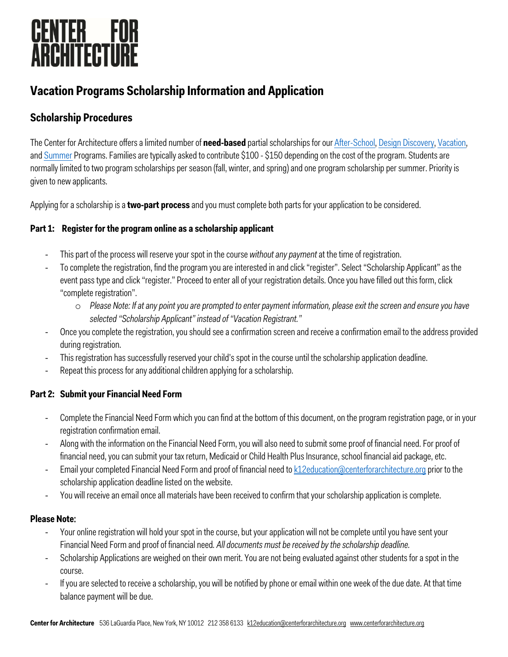

### **Vacation Programs Scholarship Information and Application**

#### **Scholarship Procedures**

The Center for Architecture offers a limited number of **need-based** partial scholarships for our [After-School](https://www.centerforarchitecture.org/k-12/youth-family-programs/weekly-after-school-programs/), [Design Discovery](https://www.centerforarchitecture.org/k-12/teen-programs/design-discovery/), [Vacation,](https://www.centerforarchitecture.org/k-12/youth-family-programs/vacation-programs/) and [Summer](https://www.centerforarchitecture.org/k-12/youth-family-programs/summer-programs/) Programs. Families are typically asked to contribute \$100 - \$150 depending on the cost of the program. Students are normally limited to two program scholarships per season (fall, winter, and spring) and one program scholarship per summer. Priority is given to new applicants.

Applying for a scholarship is a **two-part process** and you must complete both parts for your application to be considered.

#### **Part 1: Register for the program online as a scholarship applicant**

- This part of the process will reserve your spot in the course *without any payment*at the time of registration.
- To complete the registration, find the program you are interested in and click "register". Select "Scholarship Applicant" as the event pass type and click "register." Proceed to enter all of your registration details. Once you have filled out this form, click "complete registration".
	- o *Please Note: If at any point you are prompted to enter payment information, please exit the screen and ensure you have selected "Scholarship Applicant" instead of "Vacation Registrant."*
- Once you complete the registration, you should see a confirmation screen and receive a confirmation email to the address provided during registration.
- This registration has successfully reserved your child's spot in the course until the scholarship application deadline.
- Repeat this process for any additional children applying for a scholarship.

#### **Part 2: Submit your Financial Need Form**

- Complete the Financial Need Form which you can find at the bottom of this document, on the program registration page, or in your registration confirmation email.
- Along with the information on the Financial Need Form, you will also need to submit some proof of financial need. For proof of financial need, you can submit your tax return, Medicaid or Child Health Plus Insurance, school financial aid package, etc.
- Email your completed Financial Need Form and proof of financial need to **k12education@centerforarchitecture.org** prior to the scholarship application deadline listed on the website.
- You will receive an email once all materials have been received to confirm that your scholarship application is complete.

#### **Please Note**:

- Your online registration will hold your spot in the course, but your application will not be complete until you have sent your Financial Need Form and proof of financial need*. All documents must be received by the scholarship deadline.*
- Scholarship Applications are weighed on their own merit. You are not being evaluated against other students for a spot in the course.
- If you are selected to receive a scholarship, you will be notified by phone or email within one week of the due date. At that time balance payment will be due.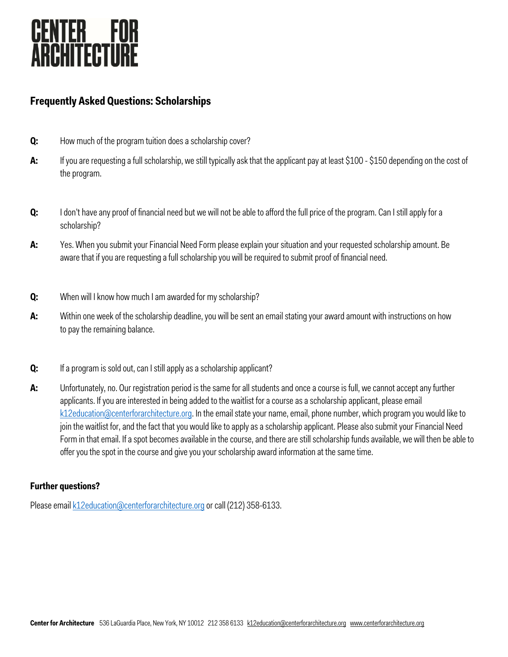

#### **Frequently Asked Questions: Scholarships**

- **Q:** How much of the program tuition does a scholarship cover?
- **A:** If you are requesting a full scholarship, we still typically ask that the applicant pay at least \$100 \$150 depending on the cost of the program.
- **Q:** I don't have any proof of financial need but we will not be able to afford the full price of the program. Can I still apply for a scholarship?
- **A:** Yes. When you submit your Financial Need Form please explain your situation and your requested scholarship amount. Be aware that if you are requesting a full scholarship you will be required to submit proof of financial need.
- **Q:** When will I know how much I am awarded for my scholarship?
- A: Within one week of the scholarship deadline, you will be sent an email stating your award amount with instructions on how to pay the remaining balance.
- **Q:** If a program is sold out, can I still apply as a scholarship applicant?
- **A:** Unfortunately, no. Our registration period is the same for all students and once a course is full, we cannot accept any further applicants. If you are interested in being added to the waitlist for a course as a scholarship applicant, please email k12education@centerforarchitecture.org. In the email state your name, email, phone number, which program you would like to join the waitlist for, and the fact that you would like to apply as a scholarship applicant. Please also submit your Financial Need Form in that email. If a spot becomes available in the course, and there are still scholarship funds available, we will then be able to offer you the spot in the course and give you your scholarship award information at the same time.

#### **Further questions?**

Please email k12education@centerforarchitecture.org or call (212) 358-6133.